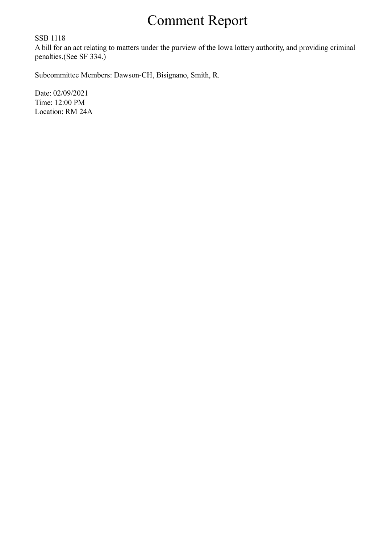## Comment Report

SSB 1118

A bill for an act relating to matters under the purview of the Iowa lottery authority, and providing criminal penalties.(See SF 334.)

Subcommittee Members: Dawson-CH, Bisignano, Smith, R.

Date: 02/09/2021 Time: 12:00 PM Location: RM 24A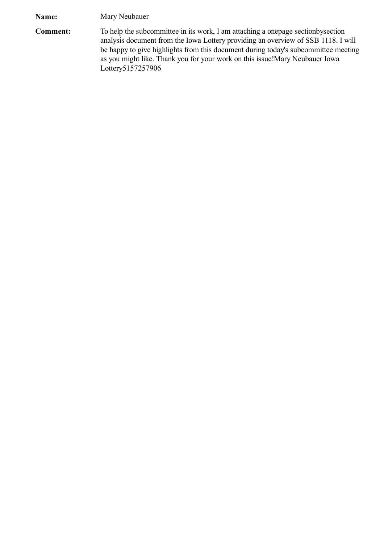**Name:** Mary Neubauer

**Comment:** To help the subcommittee in its work, I am attaching a onepage sectionbysection analysis document from the Iowa Lottery providing an overview of SSB 1118. I will be happy to give highlights from this document during today's subcommittee meeting as you might like. Thank you for your work on this issue!Mary Neubauer Iowa Lottery5157257906